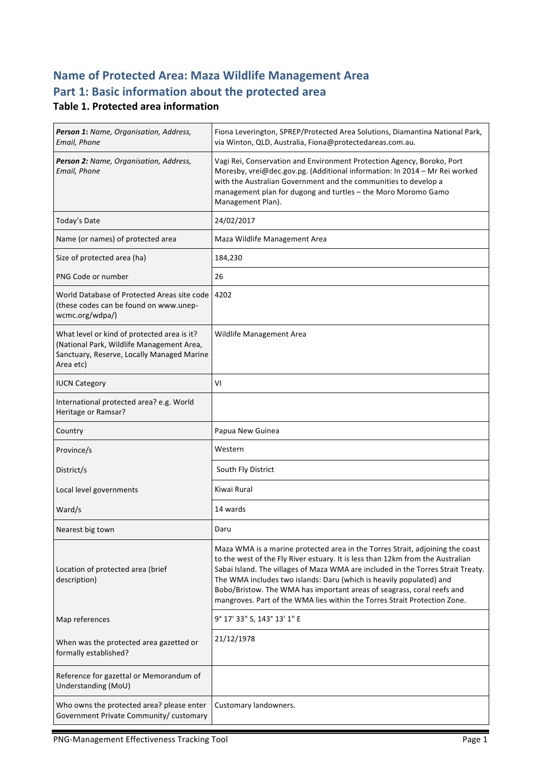# **Name of Protected Area: Maza Wildlife Management Area** Part 1: Basic information about the protected area

## **Table 1. Protected area information**

| Person 1: Name, Organisation, Address,<br>Email, Phone                                                                                              | Fiona Leverington, SPREP/Protected Area Solutions, Diamantina National Park,<br>via Winton, QLD, Australia, Fiona@protectedareas.com.au.                                                                                                                                                                      |
|-----------------------------------------------------------------------------------------------------------------------------------------------------|---------------------------------------------------------------------------------------------------------------------------------------------------------------------------------------------------------------------------------------------------------------------------------------------------------------|
| Person 2: Name, Organisation, Address,<br>Email, Phone                                                                                              | Vagi Rei, Conservation and Environment Protection Agency, Boroko, Port<br>Moresby, vrei@dec.gov.pg. (Additional information: In 2014 - Mr Rei worked<br>with the Australian Government and the communities to develop a<br>management plan for dugong and turtles - the Moro Moromo Gamo<br>Management Plan). |
| Today's Date                                                                                                                                        | 24/02/2017                                                                                                                                                                                                                                                                                                    |
| Name (or names) of protected area                                                                                                                   | Maza Wildlife Management Area                                                                                                                                                                                                                                                                                 |
| Size of protected area (ha)                                                                                                                         | 184,230                                                                                                                                                                                                                                                                                                       |
| PNG Code or number                                                                                                                                  | 26                                                                                                                                                                                                                                                                                                            |
| World Database of Protected Areas site code<br>(these codes can be found on www.unep-<br>wcmc.org/wdpa/)                                            | 4202                                                                                                                                                                                                                                                                                                          |
| What level or kind of protected area is it?<br>(National Park, Wildlife Management Area,<br>Sanctuary, Reserve, Locally Managed Marine<br>Area etc) | Wildlife Management Area                                                                                                                                                                                                                                                                                      |
| <b>IUCN Category</b>                                                                                                                                | VI                                                                                                                                                                                                                                                                                                            |
| International protected area? e.g. World<br>Heritage or Ramsar?                                                                                     |                                                                                                                                                                                                                                                                                                               |
| Country                                                                                                                                             | Papua New Guinea                                                                                                                                                                                                                                                                                              |
| Province/s                                                                                                                                          | Western                                                                                                                                                                                                                                                                                                       |
| District/s                                                                                                                                          | South Fly District                                                                                                                                                                                                                                                                                            |
| Local level governments                                                                                                                             | Kiwai Rural                                                                                                                                                                                                                                                                                                   |
| Ward/s                                                                                                                                              | 14 wards                                                                                                                                                                                                                                                                                                      |
| Nearest big town                                                                                                                                    | Daru                                                                                                                                                                                                                                                                                                          |
| Location of protected area (brief<br>description)                                                                                                   | Maza WMA is a marine protected area in the Torres Strait, adjoining the coast<br>to the west of the Fly River estuary. It is less than 12km from the Australian<br>Sabai Island. The villages of Maza WMA are included in the Torres Strait Treaty.                                                           |
|                                                                                                                                                     | The WMA includes two islands: Daru (which is heavily populated) and<br>Bobo/Bristow. The WMA has important areas of seagrass, coral reefs and<br>mangroves. Part of the WMA lies within the Torres Strait Protection Zone.                                                                                    |
| Map references                                                                                                                                      | 9° 17' 33" S, 143° 13' 1" E                                                                                                                                                                                                                                                                                   |
| When was the protected area gazetted or<br>formally established?                                                                                    | 21/12/1978                                                                                                                                                                                                                                                                                                    |
| Reference for gazettal or Memorandum of<br>Understanding (MoU)                                                                                      |                                                                                                                                                                                                                                                                                                               |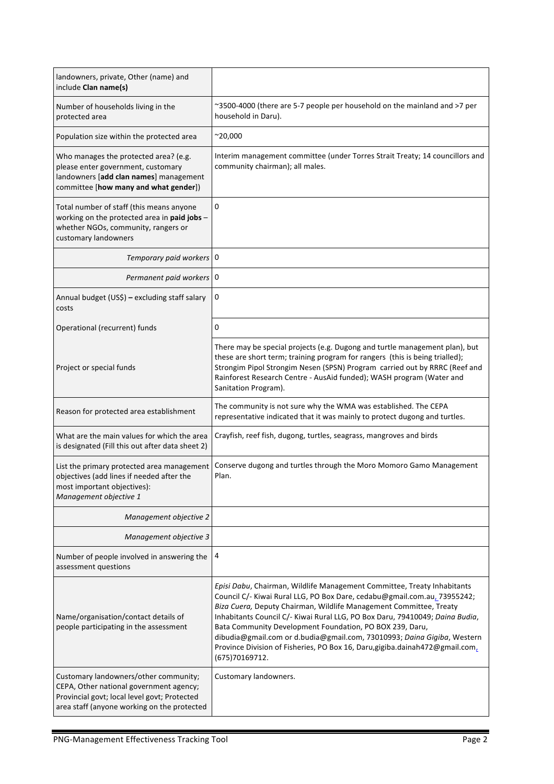| landowners, private, Other (name) and<br>include Clan name(s)                                                                                                                   |                                                                                                                                                                                                                                                                                                                                                                                                                                                                                                                                                     |
|---------------------------------------------------------------------------------------------------------------------------------------------------------------------------------|-----------------------------------------------------------------------------------------------------------------------------------------------------------------------------------------------------------------------------------------------------------------------------------------------------------------------------------------------------------------------------------------------------------------------------------------------------------------------------------------------------------------------------------------------------|
| Number of households living in the<br>protected area                                                                                                                            | ~3500-4000 (there are 5-7 people per household on the mainland and >7 per<br>household in Daru).                                                                                                                                                                                                                                                                                                                                                                                                                                                    |
| Population size within the protected area                                                                                                                                       | $^{\sim}20,000$                                                                                                                                                                                                                                                                                                                                                                                                                                                                                                                                     |
| Who manages the protected area? (e.g.<br>please enter government, customary<br>landowners [add clan names] management<br>committee [how many and what gender])                  | Interim management committee (under Torres Strait Treaty; 14 councillors and<br>community chairman); all males.                                                                                                                                                                                                                                                                                                                                                                                                                                     |
| Total number of staff (this means anyone<br>working on the protected area in paid jobs -<br>whether NGOs, community, rangers or<br>customary landowners                         | 0                                                                                                                                                                                                                                                                                                                                                                                                                                                                                                                                                   |
| Temporary paid workers   0                                                                                                                                                      |                                                                                                                                                                                                                                                                                                                                                                                                                                                                                                                                                     |
| Permanent paid workers   0                                                                                                                                                      |                                                                                                                                                                                                                                                                                                                                                                                                                                                                                                                                                     |
| Annual budget (US\$) - excluding staff salary<br>costs                                                                                                                          | 0                                                                                                                                                                                                                                                                                                                                                                                                                                                                                                                                                   |
| Operational (recurrent) funds                                                                                                                                                   | 0                                                                                                                                                                                                                                                                                                                                                                                                                                                                                                                                                   |
| Project or special funds                                                                                                                                                        | There may be special projects (e.g. Dugong and turtle management plan), but<br>these are short term; training program for rangers (this is being trialled);<br>Strongim Pipol Strongim Nesen (SPSN) Program carried out by RRRC (Reef and<br>Rainforest Research Centre - AusAid funded); WASH program (Water and<br>Sanitation Program).                                                                                                                                                                                                           |
| Reason for protected area establishment                                                                                                                                         | The community is not sure why the WMA was established. The CEPA<br>representative indicated that it was mainly to protect dugong and turtles.                                                                                                                                                                                                                                                                                                                                                                                                       |
| What are the main values for which the area<br>is designated (Fill this out after data sheet 2)                                                                                 | Crayfish, reef fish, dugong, turtles, seagrass, mangroves and birds                                                                                                                                                                                                                                                                                                                                                                                                                                                                                 |
| List the primary protected area management<br>objectives (add lines if needed after the<br>most important objectives):<br>Management objective 1                                | Conserve dugong and turtles through the Moro Momoro Gamo Management<br>Plan.                                                                                                                                                                                                                                                                                                                                                                                                                                                                        |
| Management objective 2                                                                                                                                                          |                                                                                                                                                                                                                                                                                                                                                                                                                                                                                                                                                     |
| Management objective 3                                                                                                                                                          |                                                                                                                                                                                                                                                                                                                                                                                                                                                                                                                                                     |
| Number of people involved in answering the<br>assessment questions                                                                                                              | 4                                                                                                                                                                                                                                                                                                                                                                                                                                                                                                                                                   |
| Name/organisation/contact details of<br>people participating in the assessment                                                                                                  | Episi Dabu, Chairman, Wildlife Management Committee, Treaty Inhabitants<br>Council C/- Kiwai Rural LLG, PO Box Dare, cedabu@gmail.com.au, 73955242;<br>Biza Cuera, Deputy Chairman, Wildlife Management Committee, Treaty<br>Inhabitants Council C/- Kiwai Rural LLG, PO Box Daru, 79410049; Daina Budia,<br>Bata Community Development Foundation, PO BOX 239, Daru,<br>dibudia@gmail.com or d.budia@gmail.com, 73010993; Daina Gigiba, Western<br>Province Division of Fisheries, PO Box 16, Daru, gigiba.dainah472@gmail.com,<br>(675) 70169712. |
| Customary landowners/other community;<br>CEPA, Other national government agency;<br>Provincial govt; local level govt; Protected<br>area staff (anyone working on the protected | Customary landowners.                                                                                                                                                                                                                                                                                                                                                                                                                                                                                                                               |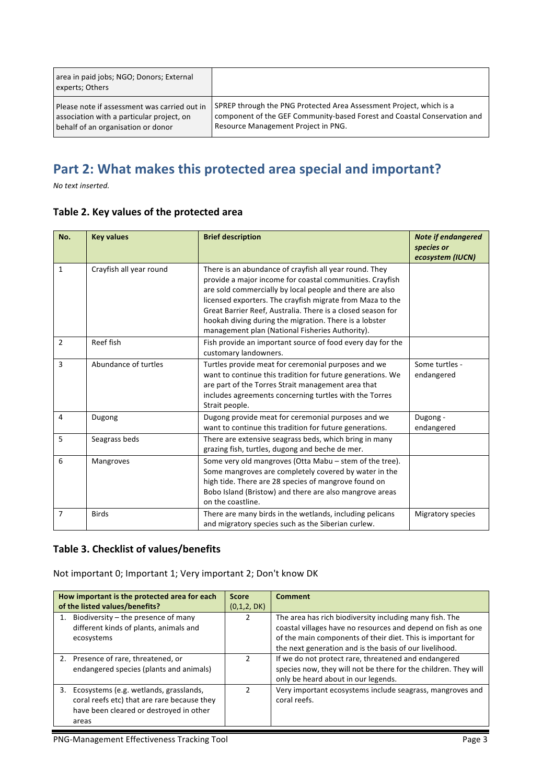| area in paid jobs; NGO; Donors; External<br>experts; Others |                                                                          |
|-------------------------------------------------------------|--------------------------------------------------------------------------|
| l Please note if assessment was carried out in              | SPREP through the PNG Protected Area Assessment Project, which is a      |
| association with a particular project, on                   | component of the GEF Community-based Forest and Coastal Conservation and |
| behalf of an organisation or donor                          | Resource Management Project in PNG.                                      |

# Part 2: What makes this protected area special and important?

*No text inserted.*

#### Table 2. Key values of the protected area

| No.          | <b>Key values</b>       | <b>Brief description</b>                                                                                                                                                                                                                                                                                                                                                                                                | <b>Note if endangered</b><br>species or<br>ecosystem (IUCN) |
|--------------|-------------------------|-------------------------------------------------------------------------------------------------------------------------------------------------------------------------------------------------------------------------------------------------------------------------------------------------------------------------------------------------------------------------------------------------------------------------|-------------------------------------------------------------|
| $\mathbf{1}$ | Crayfish all year round | There is an abundance of crayfish all year round. They<br>provide a major income for coastal communities. Crayfish<br>are sold commercially by local people and there are also<br>licensed exporters. The crayfish migrate from Maza to the<br>Great Barrier Reef, Australia. There is a closed season for<br>hookah diving during the migration. There is a lobster<br>management plan (National Fisheries Authority). |                                                             |
| 2            | Reef fish               | Fish provide an important source of food every day for the<br>customary landowners.                                                                                                                                                                                                                                                                                                                                     |                                                             |
| 3            | Abundance of turtles    | Turtles provide meat for ceremonial purposes and we<br>want to continue this tradition for future generations. We<br>are part of the Torres Strait management area that<br>includes agreements concerning turtles with the Torres<br>Strait people.                                                                                                                                                                     | Some turtles -<br>endangered                                |
| 4            | Dugong                  | Dugong provide meat for ceremonial purposes and we<br>want to continue this tradition for future generations.                                                                                                                                                                                                                                                                                                           | Dugong -<br>endangered                                      |
| 5            | Seagrass beds           | There are extensive seagrass beds, which bring in many<br>grazing fish, turtles, dugong and beche de mer.                                                                                                                                                                                                                                                                                                               |                                                             |
| 6            | <b>Mangroves</b>        | Some very old mangroves (Otta Mabu – stem of the tree).<br>Some mangroves are completely covered by water in the<br>high tide. There are 28 species of mangrove found on<br>Bobo Island (Bristow) and there are also mangrove areas<br>on the coastline.                                                                                                                                                                |                                                             |
| 7            | <b>Birds</b>            | There are many birds in the wetlands, including pelicans<br>and migratory species such as the Siberian curlew.                                                                                                                                                                                                                                                                                                          | Migratory species                                           |

## **Table 3. Checklist of values/benefits**

Not important 0; Important 1; Very important 2; Don't know DK

| How important is the protected area for each                                                                                                    | <b>Score</b> | <b>Comment</b>                                                                                                                                                                                                                                    |
|-------------------------------------------------------------------------------------------------------------------------------------------------|--------------|---------------------------------------------------------------------------------------------------------------------------------------------------------------------------------------------------------------------------------------------------|
| of the listed values/benefits?                                                                                                                  | (0,1,2, DK)  |                                                                                                                                                                                                                                                   |
| Biodiversity – the presence of many<br>different kinds of plants, animals and<br>ecosystems                                                     |              | The area has rich biodiversity including many fish. The<br>coastal villages have no resources and depend on fish as one<br>of the main components of their diet. This is important for<br>the next generation and is the basis of our livelihood. |
| 2. Presence of rare, threatened, or<br>endangered species (plants and animals)                                                                  | 2            | If we do not protect rare, threatened and endangered<br>species now, they will not be there for the children. They will<br>only be heard about in our legends.                                                                                    |
| Ecosystems (e.g. wetlands, grasslands,<br>3.<br>coral reefs etc) that are rare because they<br>have been cleared or destroyed in other<br>areas |              | Very important ecosystems include seagrass, mangroves and<br>coral reefs.                                                                                                                                                                         |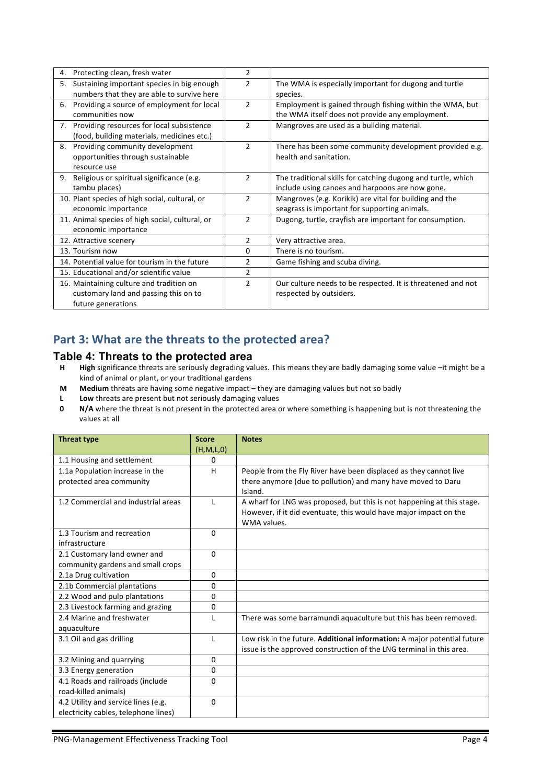| 4. | Protecting clean, fresh water                   | 2              |                                                              |
|----|-------------------------------------------------|----------------|--------------------------------------------------------------|
| 5. | Sustaining important species in big enough      | $\overline{2}$ | The WMA is especially important for dugong and turtle        |
|    | numbers that they are able to survive here      |                | species.                                                     |
| 6. | Providing a source of employment for local      | $\mathcal{P}$  | Employment is gained through fishing within the WMA, but     |
|    | communities now                                 |                | the WMA itself does not provide any employment.              |
| 7. | Providing resources for local subsistence       | $\mathfrak{p}$ | Mangroves are used as a building material.                   |
|    | (food, building materials, medicines etc.)      |                |                                                              |
| 8. | Providing community development                 | $\mathcal{P}$  | There has been some community development provided e.g.      |
|    | opportunities through sustainable               |                | health and sanitation.                                       |
|    | resource use                                    |                |                                                              |
| 9. | Religious or spiritual significance (e.g.       | $\overline{2}$ | The traditional skills for catching dugong and turtle, which |
|    | tambu places)                                   |                | include using canoes and harpoons are now gone.              |
|    | 10. Plant species of high social, cultural, or  | $\mathcal{P}$  | Mangroves (e.g. Korikik) are vital for building and the      |
|    | economic importance                             |                | seagrass is important for supporting animals.                |
|    | 11. Animal species of high social, cultural, or | $\mathfrak{p}$ | Dugong, turtle, crayfish are important for consumption.      |
|    | economic importance                             |                |                                                              |
|    | 12. Attractive scenery                          | $\overline{2}$ | Very attractive area.                                        |
|    | 13. Tourism now                                 | $\Omega$       | There is no tourism.                                         |
|    | 14. Potential value for tourism in the future   | 2              | Game fishing and scuba diving.                               |
|    | 15. Educational and/or scientific value         | $\overline{2}$ |                                                              |
|    | 16. Maintaining culture and tradition on        | $\mathfrak{p}$ | Our culture needs to be respected. It is threatened and not  |
|    | customary land and passing this on to           |                | respected by outsiders.                                      |
|    | future generations                              |                |                                                              |

## Part 3: What are the threats to the protected area?

### **Table 4: Threats to the protected area**

- **H High** significance threats are seriously degrading values. This means they are badly damaging some value –it might be a kind of animal or plant, or your traditional gardens
- **M** Medium threats are having some negative impact they are damaging values but not so badly
- **L Low** threats are present but not seriously damaging values
- **0 N/A** where the threat is not present in the protected area or where something is happening but is not threatening the values at all

| <b>Threat type</b>                   | <b>Score</b> | <b>Notes</b>                                                                     |
|--------------------------------------|--------------|----------------------------------------------------------------------------------|
|                                      | (H, M, L, 0) |                                                                                  |
| 1.1 Housing and settlement           | 0            |                                                                                  |
| 1.1a Population increase in the      | н            | People from the Fly River have been displaced as they cannot live                |
| protected area community             |              | there anymore (due to pollution) and many have moved to Daru<br>Island.          |
| 1.2 Commercial and industrial areas  |              | A wharf for LNG was proposed, but this is not happening at this stage.           |
|                                      |              | However, if it did eventuate, this would have major impact on the<br>WMA values. |
| 1.3 Tourism and recreation           | $\Omega$     |                                                                                  |
| infrastructure                       |              |                                                                                  |
| 2.1 Customary land owner and         | $\Omega$     |                                                                                  |
| community gardens and small crops    |              |                                                                                  |
| 2.1a Drug cultivation                | 0            |                                                                                  |
| 2.1b Commercial plantations          | 0            |                                                                                  |
| 2.2 Wood and pulp plantations        | 0            |                                                                                  |
| 2.3 Livestock farming and grazing    | 0            |                                                                                  |
| 2.4 Marine and freshwater            |              | There was some barramundi aquaculture but this has been removed.                 |
| aquaculture                          |              |                                                                                  |
| 3.1 Oil and gas drilling             | L            | Low risk in the future. Additional information: A major potential future         |
|                                      |              | issue is the approved construction of the LNG terminal in this area.             |
| 3.2 Mining and quarrying             | 0            |                                                                                  |
| 3.3 Energy generation                | $\Omega$     |                                                                                  |
| 4.1 Roads and railroads (include     | $\Omega$     |                                                                                  |
| road-killed animals)                 |              |                                                                                  |
| 4.2 Utility and service lines (e.g.  | $\Omega$     |                                                                                  |
| electricity cables, telephone lines) |              |                                                                                  |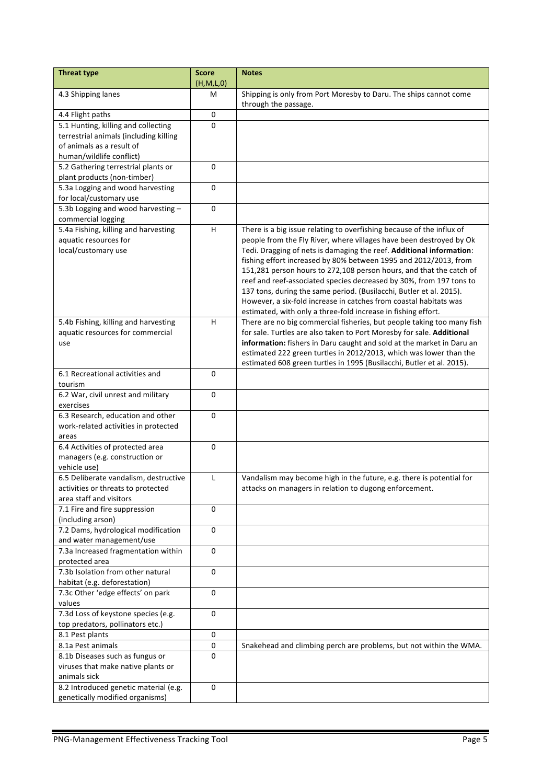| <b>Threat type</b>                                       | <b>Score</b><br>(H,M,L,0) | <b>Notes</b>                                                                                                                                |
|----------------------------------------------------------|---------------------------|---------------------------------------------------------------------------------------------------------------------------------------------|
| 4.3 Shipping lanes                                       | м                         | Shipping is only from Port Moresby to Daru. The ships cannot come                                                                           |
|                                                          |                           | through the passage.                                                                                                                        |
| 4.4 Flight paths                                         | $\pmb{0}$                 |                                                                                                                                             |
| 5.1 Hunting, killing and collecting                      | $\Omega$                  |                                                                                                                                             |
| terrestrial animals (including killing                   |                           |                                                                                                                                             |
| of animals as a result of                                |                           |                                                                                                                                             |
| human/wildlife conflict)                                 |                           |                                                                                                                                             |
| 5.2 Gathering terrestrial plants or                      | 0                         |                                                                                                                                             |
| plant products (non-timber)                              |                           |                                                                                                                                             |
| 5.3a Logging and wood harvesting                         | $\mathbf 0$               |                                                                                                                                             |
| for local/customary use                                  |                           |                                                                                                                                             |
| 5.3b Logging and wood harvesting-                        | 0                         |                                                                                                                                             |
| commercial logging                                       |                           |                                                                                                                                             |
| 5.4a Fishing, killing and harvesting                     | $\boldsymbol{\mathsf{H}}$ | There is a big issue relating to overfishing because of the influx of                                                                       |
| aquatic resources for<br>local/customary use             |                           | people from the Fly River, where villages have been destroyed by Ok<br>Tedi. Dragging of nets is damaging the reef. Additional information: |
|                                                          |                           | fishing effort increased by 80% between 1995 and 2012/2013, from                                                                            |
|                                                          |                           | 151,281 person hours to 272,108 person hours, and that the catch of                                                                         |
|                                                          |                           | reef and reef-associated species decreased by 30%, from 197 tons to                                                                         |
|                                                          |                           | 137 tons, during the same period. (Busilacchi, Butler et al. 2015).                                                                         |
|                                                          |                           | However, a six-fold increase in catches from coastal habitats was                                                                           |
|                                                          |                           | estimated, with only a three-fold increase in fishing effort.                                                                               |
| 5.4b Fishing, killing and harvesting                     | H                         | There are no big commercial fisheries, but people taking too many fish                                                                      |
| aquatic resources for commercial                         |                           | for sale. Turtles are also taken to Port Moresby for sale. Additional                                                                       |
| use                                                      |                           | information: fishers in Daru caught and sold at the market in Daru an                                                                       |
|                                                          |                           | estimated 222 green turtles in 2012/2013, which was lower than the                                                                          |
|                                                          |                           | estimated 608 green turtles in 1995 (Busilacchi, Butler et al. 2015).                                                                       |
| 6.1 Recreational activities and                          | $\mathbf 0$               |                                                                                                                                             |
| tourism                                                  |                           |                                                                                                                                             |
| 6.2 War, civil unrest and military                       | $\mathbf 0$               |                                                                                                                                             |
| exercises                                                |                           |                                                                                                                                             |
| 6.3 Research, education and other                        | 0                         |                                                                                                                                             |
| work-related activities in protected                     |                           |                                                                                                                                             |
| areas                                                    |                           |                                                                                                                                             |
| 6.4 Activities of protected area                         | 0                         |                                                                                                                                             |
| managers (e.g. construction or                           |                           |                                                                                                                                             |
| vehicle use)                                             |                           |                                                                                                                                             |
| 6.5 Deliberate vandalism, destructive                    | L                         | Vandalism may become high in the future, e.g. there is potential for                                                                        |
| activities or threats to protected                       |                           | attacks on managers in relation to dugong enforcement.                                                                                      |
| area staff and visitors                                  |                           |                                                                                                                                             |
| 7.1 Fire and fire suppression                            | 0                         |                                                                                                                                             |
| (including arson)<br>7.2 Dams, hydrological modification | $\Omega$                  |                                                                                                                                             |
| and water management/use                                 |                           |                                                                                                                                             |
| 7.3a Increased fragmentation within                      | $\Omega$                  |                                                                                                                                             |
| protected area                                           |                           |                                                                                                                                             |
| 7.3b Isolation from other natural                        | 0                         |                                                                                                                                             |
| habitat (e.g. deforestation)                             |                           |                                                                                                                                             |
| 7.3c Other 'edge effects' on park                        | 0                         |                                                                                                                                             |
| values                                                   |                           |                                                                                                                                             |
| 7.3d Loss of keystone species (e.g.                      | 0                         |                                                                                                                                             |
| top predators, pollinators etc.)                         |                           |                                                                                                                                             |
| 8.1 Pest plants                                          | $\pmb{0}$                 |                                                                                                                                             |
| 8.1a Pest animals                                        | $\pmb{0}$                 | Snakehead and climbing perch are problems, but not within the WMA.                                                                          |
| 8.1b Diseases such as fungus or                          | 0                         |                                                                                                                                             |
| viruses that make native plants or                       |                           |                                                                                                                                             |
| animals sick                                             |                           |                                                                                                                                             |
| 8.2 Introduced genetic material (e.g.                    | 0                         |                                                                                                                                             |
| genetically modified organisms)                          |                           |                                                                                                                                             |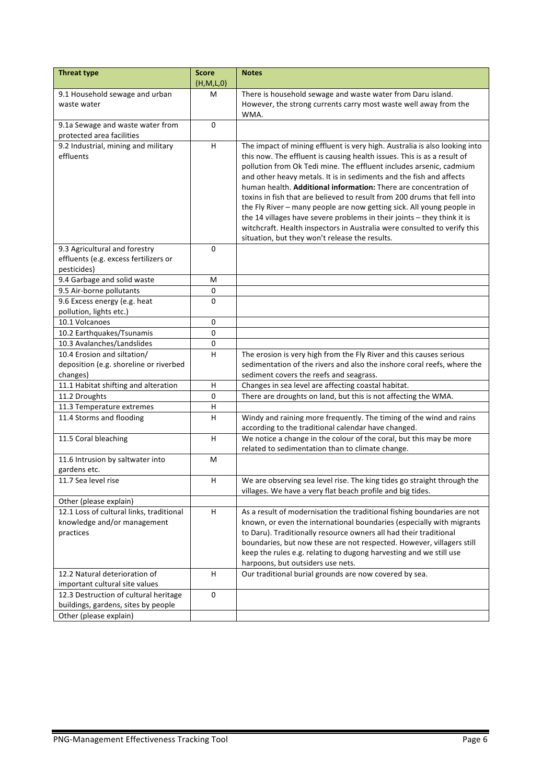| <b>Threat type</b>                                                                                     | <b>Score</b><br>(H,M,L,0) | <b>Notes</b>                                                                                                                                                                                                                                                                                                                                                                                                                                                                                                                                                                                                                                                                                                                          |
|--------------------------------------------------------------------------------------------------------|---------------------------|---------------------------------------------------------------------------------------------------------------------------------------------------------------------------------------------------------------------------------------------------------------------------------------------------------------------------------------------------------------------------------------------------------------------------------------------------------------------------------------------------------------------------------------------------------------------------------------------------------------------------------------------------------------------------------------------------------------------------------------|
| 9.1 Household sewage and urban<br>waste water                                                          | M                         | There is household sewage and waste water from Daru island.<br>However, the strong currents carry most waste well away from the<br>WMA.                                                                                                                                                                                                                                                                                                                                                                                                                                                                                                                                                                                               |
| 9.1a Sewage and waste water from<br>protected area facilities                                          | $\mathbf 0$               |                                                                                                                                                                                                                                                                                                                                                                                                                                                                                                                                                                                                                                                                                                                                       |
| 9.2 Industrial, mining and military<br>effluents                                                       | H                         | The impact of mining effluent is very high. Australia is also looking into<br>this now. The effluent is causing health issues. This is as a result of<br>pollution from Ok Tedi mine. The effluent includes arsenic, cadmium<br>and other heavy metals. It is in sediments and the fish and affects<br>human health. Additional information: There are concentration of<br>toxins in fish that are believed to result from 200 drums that fell into<br>the Fly River - many people are now getting sick. All young people in<br>the 14 villages have severe problems in their joints - they think it is<br>witchcraft. Health inspectors in Australia were consulted to verify this<br>situation, but they won't release the results. |
| 9.3 Agricultural and forestry<br>effluents (e.g. excess fertilizers or<br>pesticides)                  | $\Omega$                  |                                                                                                                                                                                                                                                                                                                                                                                                                                                                                                                                                                                                                                                                                                                                       |
| 9.4 Garbage and solid waste                                                                            | M                         |                                                                                                                                                                                                                                                                                                                                                                                                                                                                                                                                                                                                                                                                                                                                       |
| 9.5 Air-borne pollutants                                                                               | 0                         |                                                                                                                                                                                                                                                                                                                                                                                                                                                                                                                                                                                                                                                                                                                                       |
| 9.6 Excess energy (e.g. heat<br>pollution, lights etc.)                                                | 0                         |                                                                                                                                                                                                                                                                                                                                                                                                                                                                                                                                                                                                                                                                                                                                       |
| 10.1 Volcanoes                                                                                         | 0                         |                                                                                                                                                                                                                                                                                                                                                                                                                                                                                                                                                                                                                                                                                                                                       |
| 10.2 Earthquakes/Tsunamis                                                                              | $\mathbf 0$               |                                                                                                                                                                                                                                                                                                                                                                                                                                                                                                                                                                                                                                                                                                                                       |
| 10.3 Avalanches/Landslides                                                                             | $\pmb{0}$                 |                                                                                                                                                                                                                                                                                                                                                                                                                                                                                                                                                                                                                                                                                                                                       |
| 10.4 Erosion and siltation/<br>deposition (e.g. shoreline or riverbed<br>changes)                      | н                         | The erosion is very high from the Fly River and this causes serious<br>sedimentation of the rivers and also the inshore coral reefs, where the<br>sediment covers the reefs and seagrass.                                                                                                                                                                                                                                                                                                                                                                                                                                                                                                                                             |
| 11.1 Habitat shifting and alteration                                                                   | H                         | Changes in sea level are affecting coastal habitat.                                                                                                                                                                                                                                                                                                                                                                                                                                                                                                                                                                                                                                                                                   |
| 11.2 Droughts                                                                                          | 0                         | There are droughts on land, but this is not affecting the WMA.                                                                                                                                                                                                                                                                                                                                                                                                                                                                                                                                                                                                                                                                        |
| 11.3 Temperature extremes                                                                              | $\sf H$                   |                                                                                                                                                                                                                                                                                                                                                                                                                                                                                                                                                                                                                                                                                                                                       |
| 11.4 Storms and flooding                                                                               | $\overline{H}$            | Windy and raining more frequently. The timing of the wind and rains<br>according to the traditional calendar have changed.                                                                                                                                                                                                                                                                                                                                                                                                                                                                                                                                                                                                            |
| 11.5 Coral bleaching                                                                                   | H                         | We notice a change in the colour of the coral, but this may be more<br>related to sedimentation than to climate change.                                                                                                                                                                                                                                                                                                                                                                                                                                                                                                                                                                                                               |
| 11.6 Intrusion by saltwater into<br>gardens etc.                                                       | M                         |                                                                                                                                                                                                                                                                                                                                                                                                                                                                                                                                                                                                                                                                                                                                       |
| 11.7 Sea level rise                                                                                    | H                         | We are observing sea level rise. The king tides go straight through the<br>villages. We have a very flat beach profile and big tides.                                                                                                                                                                                                                                                                                                                                                                                                                                                                                                                                                                                                 |
| Other (please explain)                                                                                 |                           |                                                                                                                                                                                                                                                                                                                                                                                                                                                                                                                                                                                                                                                                                                                                       |
| 12.1 Loss of cultural links, traditional<br>knowledge and/or management<br>practices                   | H                         | As a result of modernisation the traditional fishing boundaries are not<br>known, or even the international boundaries (especially with migrants<br>to Daru). Traditionally resource owners all had their traditional<br>boundaries, but now these are not respected. However, villagers still<br>keep the rules e.g. relating to dugong harvesting and we still use<br>harpoons, but outsiders use nets.                                                                                                                                                                                                                                                                                                                             |
| 12.2 Natural deterioration of<br>important cultural site values                                        | H                         | Our traditional burial grounds are now covered by sea.                                                                                                                                                                                                                                                                                                                                                                                                                                                                                                                                                                                                                                                                                |
| 12.3 Destruction of cultural heritage<br>buildings, gardens, sites by people<br>Other (please explain) | 0                         |                                                                                                                                                                                                                                                                                                                                                                                                                                                                                                                                                                                                                                                                                                                                       |
|                                                                                                        |                           |                                                                                                                                                                                                                                                                                                                                                                                                                                                                                                                                                                                                                                                                                                                                       |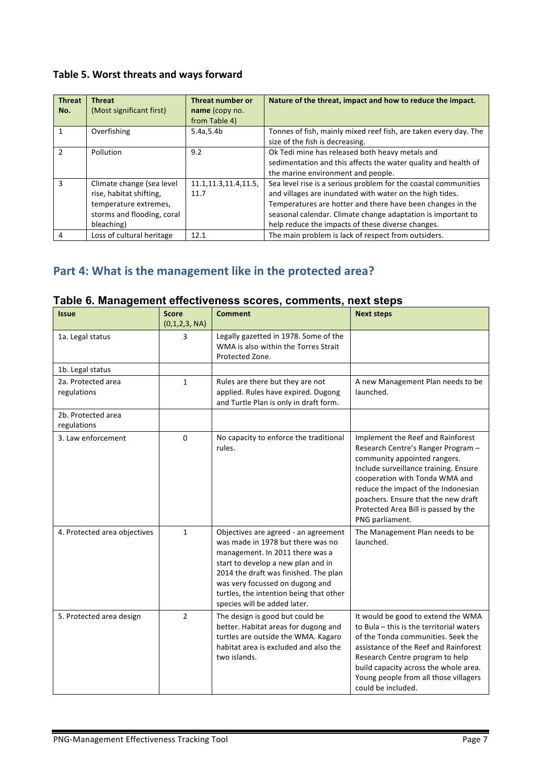## Table 5. Worst threats and ways forward

| <b>Threat</b><br>No. | <b>Threat</b><br>(Most significant first)                                                                                 | Threat number or<br>name (copy no.<br>from Table 4) | Nature of the threat, impact and how to reduce the impact.                                                                                                                                                                                                                                                     |
|----------------------|---------------------------------------------------------------------------------------------------------------------------|-----------------------------------------------------|----------------------------------------------------------------------------------------------------------------------------------------------------------------------------------------------------------------------------------------------------------------------------------------------------------------|
|                      | Overfishing                                                                                                               | 5.4a, 5.4b                                          | Tonnes of fish, mainly mixed reef fish, are taken every day. The<br>size of the fish is decreasing.                                                                                                                                                                                                            |
| $\mathcal{P}$        | Pollution                                                                                                                 | 9.2                                                 | Ok Tedi mine has released both heavy metals and<br>sedimentation and this affects the water quality and health of<br>the marine environment and people.                                                                                                                                                        |
| 3                    | Climate change (sea level<br>rise, habitat shifting,<br>temperature extremes,<br>storms and flooding, coral<br>bleaching) | 11.1, 11.3, 11.4, 11.5,<br>11.7                     | Sea level rise is a serious problem for the coastal communities<br>and villages are inundated with water on the high tides.<br>Temperatures are hotter and there have been changes in the<br>seasonal calendar. Climate change adaptation is important to<br>help reduce the impacts of these diverse changes. |
| 4                    | Loss of cultural heritage                                                                                                 | 12.1                                                | The main problem is lack of respect from outsiders.                                                                                                                                                                                                                                                            |

# Part 4: What is the management like in the protected area?

| <b>Issue</b>                      | <b>Score</b><br>(0,1,2,3, NA) | <b>Comment</b>                                                                                                                                                                                                                                                                                            | <b>Next steps</b>                                                                                                                                                                                                                                                                                                           |
|-----------------------------------|-------------------------------|-----------------------------------------------------------------------------------------------------------------------------------------------------------------------------------------------------------------------------------------------------------------------------------------------------------|-----------------------------------------------------------------------------------------------------------------------------------------------------------------------------------------------------------------------------------------------------------------------------------------------------------------------------|
| 1a. Legal status                  | 3                             | Legally gazetted in 1978. Some of the<br>WMA is also within the Torres Strait<br>Protected Zone.                                                                                                                                                                                                          |                                                                                                                                                                                                                                                                                                                             |
| 1b. Legal status                  |                               |                                                                                                                                                                                                                                                                                                           |                                                                                                                                                                                                                                                                                                                             |
| 2a. Protected area<br>regulations | $\mathbf{1}$                  | Rules are there but they are not<br>applied. Rules have expired. Dugong<br>and Turtle Plan is only in draft form.                                                                                                                                                                                         | A new Management Plan needs to be<br>launched.                                                                                                                                                                                                                                                                              |
| 2b. Protected area<br>regulations |                               |                                                                                                                                                                                                                                                                                                           |                                                                                                                                                                                                                                                                                                                             |
| 3. Law enforcement                | $\mathbf 0$                   | No capacity to enforce the traditional<br>rules.                                                                                                                                                                                                                                                          | Implement the Reef and Rainforest<br>Research Centre's Ranger Program -<br>community appointed rangers.<br>Include surveillance training. Ensure<br>cooperation with Tonda WMA and<br>reduce the impact of the Indonesian<br>poachers. Ensure that the new draft<br>Protected Area Bill is passed by the<br>PNG parliament. |
| 4. Protected area objectives      | $\mathbf{1}$                  | Objectives are agreed - an agreement<br>was made in 1978 but there was no<br>management. In 2011 there was a<br>start to develop a new plan and in<br>2014 the draft was finished. The plan<br>was very focussed on dugong and<br>turtles, the intention being that other<br>species will be added later. | The Management Plan needs to be<br>launched.                                                                                                                                                                                                                                                                                |
| 5. Protected area design          | $\overline{2}$                | The design is good but could be<br>better. Habitat areas for dugong and<br>turtles are outside the WMA. Kagaro<br>habitat area is excluded and also the<br>two islands.                                                                                                                                   | It would be good to extend the WMA<br>to Bula - this is the territorial waters<br>of the Tonda communities. Seek the<br>assistance of the Reef and Rainforest<br>Research Centre program to help<br>build capacity across the whole area.<br>Young people from all those villagers<br>could be included.                    |

## **Table 6. Management effectiveness scores, comments, next steps**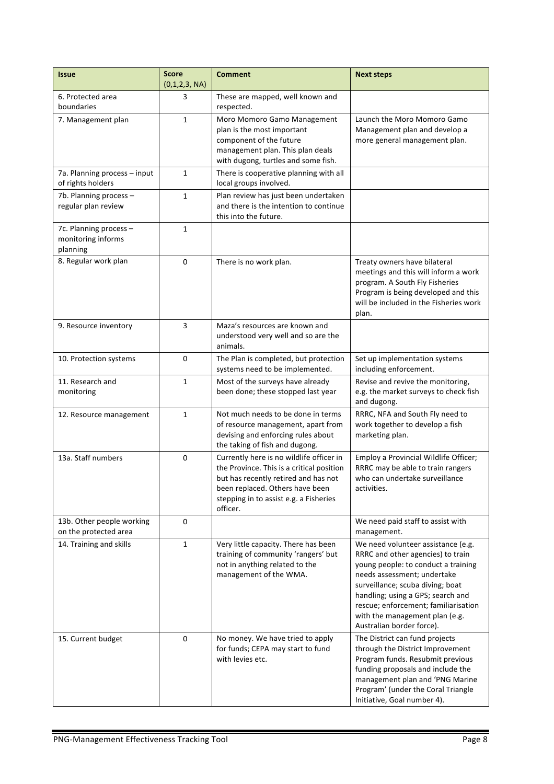| <b>Issue</b>                                             | <b>Score</b><br>(0,1,2,3, NA) | <b>Comment</b>                                                                                                                                                                                                         | <b>Next steps</b>                                                                                                                                                                                                                                                                                                             |
|----------------------------------------------------------|-------------------------------|------------------------------------------------------------------------------------------------------------------------------------------------------------------------------------------------------------------------|-------------------------------------------------------------------------------------------------------------------------------------------------------------------------------------------------------------------------------------------------------------------------------------------------------------------------------|
| 6. Protected area<br>boundaries                          | 3                             | These are mapped, well known and<br>respected.                                                                                                                                                                         |                                                                                                                                                                                                                                                                                                                               |
| 7. Management plan                                       | $\mathbf{1}$                  | Moro Momoro Gamo Management<br>plan is the most important<br>component of the future<br>management plan. This plan deals<br>with dugong, turtles and some fish.                                                        | Launch the Moro Momoro Gamo<br>Management plan and develop a<br>more general management plan.                                                                                                                                                                                                                                 |
| 7a. Planning process - input<br>of rights holders        | 1                             | There is cooperative planning with all<br>local groups involved.                                                                                                                                                       |                                                                                                                                                                                                                                                                                                                               |
| 7b. Planning process -<br>regular plan review            | $\mathbf{1}$                  | Plan review has just been undertaken<br>and there is the intention to continue<br>this into the future.                                                                                                                |                                                                                                                                                                                                                                                                                                                               |
| 7c. Planning process -<br>monitoring informs<br>planning | $\mathbf{1}$                  |                                                                                                                                                                                                                        |                                                                                                                                                                                                                                                                                                                               |
| 8. Regular work plan                                     | $\Omega$                      | There is no work plan.                                                                                                                                                                                                 | Treaty owners have bilateral<br>meetings and this will inform a work<br>program. A South Fly Fisheries<br>Program is being developed and this<br>will be included in the Fisheries work<br>plan.                                                                                                                              |
| 9. Resource inventory                                    | 3                             | Maza's resources are known and<br>understood very well and so are the<br>animals.                                                                                                                                      |                                                                                                                                                                                                                                                                                                                               |
| 10. Protection systems                                   | $\mathbf 0$                   | The Plan is completed, but protection<br>systems need to be implemented.                                                                                                                                               | Set up implementation systems<br>including enforcement.                                                                                                                                                                                                                                                                       |
| 11. Research and<br>monitoring                           | $\mathbf{1}$                  | Most of the surveys have already<br>been done; these stopped last year                                                                                                                                                 | Revise and revive the monitoring,<br>e.g. the market surveys to check fish<br>and dugong.                                                                                                                                                                                                                                     |
| 12. Resource management                                  | $\mathbf{1}$                  | Not much needs to be done in terms<br>of resource management, apart from<br>devising and enforcing rules about<br>the taking of fish and dugong.                                                                       | RRRC, NFA and South Fly need to<br>work together to develop a fish<br>marketing plan.                                                                                                                                                                                                                                         |
| 13a. Staff numbers                                       | $\mathbf 0$                   | Currently here is no wildlife officer in<br>the Province. This is a critical position<br>but has recently retired and has not<br>been replaced. Others have been<br>stepping in to assist e.g. a Fisheries<br>officer. | Employ a Provincial Wildlife Officer;<br>RRRC may be able to train rangers<br>who can undertake surveillance<br>activities.                                                                                                                                                                                                   |
| 13b. Other people working<br>on the protected area       | 0                             |                                                                                                                                                                                                                        | We need paid staff to assist with<br>management.                                                                                                                                                                                                                                                                              |
| 14. Training and skills                                  | $\mathbf{1}$                  | Very little capacity. There has been<br>training of community 'rangers' but<br>not in anything related to the<br>management of the WMA.                                                                                | We need volunteer assistance (e.g.<br>RRRC and other agencies) to train<br>young people: to conduct a training<br>needs assessment; undertake<br>surveillance; scuba diving; boat<br>handling; using a GPS; search and<br>rescue; enforcement; familiarisation<br>with the management plan (e.g.<br>Australian border force). |
| 15. Current budget                                       | $\mathbf 0$                   | No money. We have tried to apply<br>for funds; CEPA may start to fund<br>with levies etc.                                                                                                                              | The District can fund projects<br>through the District Improvement<br>Program funds. Resubmit previous<br>funding proposals and include the<br>management plan and 'PNG Marine<br>Program' (under the Coral Triangle<br>Initiative, Goal number 4).                                                                           |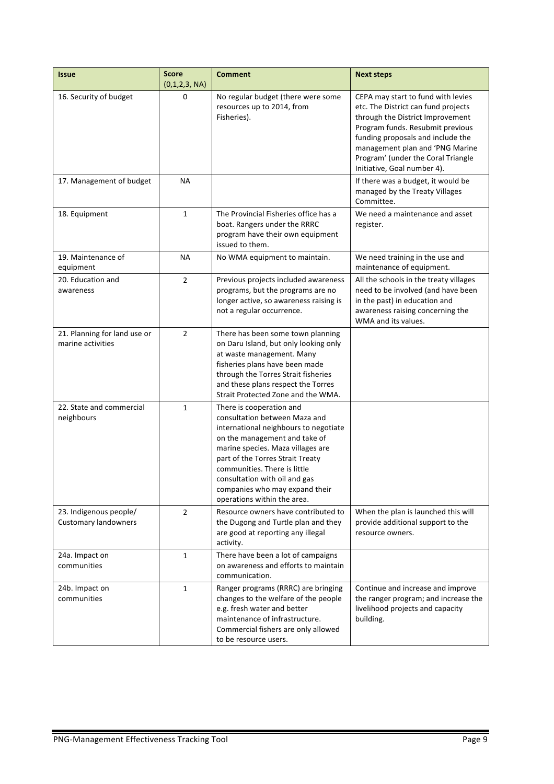| <b>Issue</b>                                          | <b>Score</b><br>(0,1,2,3, NA) | <b>Comment</b>                                                                                                                                                                                                                                                                                                                                 | <b>Next steps</b>                                                                                                                                                                                                                                                                              |
|-------------------------------------------------------|-------------------------------|------------------------------------------------------------------------------------------------------------------------------------------------------------------------------------------------------------------------------------------------------------------------------------------------------------------------------------------------|------------------------------------------------------------------------------------------------------------------------------------------------------------------------------------------------------------------------------------------------------------------------------------------------|
| 16. Security of budget                                | $\mathbf 0$                   | No regular budget (there were some<br>resources up to 2014, from<br>Fisheries).                                                                                                                                                                                                                                                                | CEPA may start to fund with levies<br>etc. The District can fund projects<br>through the District Improvement<br>Program funds. Resubmit previous<br>funding proposals and include the<br>management plan and 'PNG Marine<br>Program' (under the Coral Triangle<br>Initiative, Goal number 4). |
| 17. Management of budget                              | <b>NA</b>                     |                                                                                                                                                                                                                                                                                                                                                | If there was a budget, it would be<br>managed by the Treaty Villages<br>Committee.                                                                                                                                                                                                             |
| 18. Equipment                                         | $\mathbf{1}$                  | The Provincial Fisheries office has a<br>boat. Rangers under the RRRC<br>program have their own equipment<br>issued to them.                                                                                                                                                                                                                   | We need a maintenance and asset<br>register.                                                                                                                                                                                                                                                   |
| 19. Maintenance of<br>equipment                       | ΝA                            | No WMA equipment to maintain.                                                                                                                                                                                                                                                                                                                  | We need training in the use and<br>maintenance of equipment.                                                                                                                                                                                                                                   |
| 20. Education and<br>awareness                        | $\overline{2}$                | Previous projects included awareness<br>programs, but the programs are no<br>longer active, so awareness raising is<br>not a regular occurrence.                                                                                                                                                                                               | All the schools in the treaty villages<br>need to be involved (and have been<br>in the past) in education and<br>awareness raising concerning the<br>WMA and its values.                                                                                                                       |
| 21. Planning for land use or<br>marine activities     | $\overline{2}$                | There has been some town planning<br>on Daru Island, but only looking only<br>at waste management. Many<br>fisheries plans have been made<br>through the Torres Strait fisheries<br>and these plans respect the Torres<br>Strait Protected Zone and the WMA.                                                                                   |                                                                                                                                                                                                                                                                                                |
| 22. State and commercial<br>neighbours                | $\mathbf{1}$                  | There is cooperation and<br>consultation between Maza and<br>international neighbours to negotiate<br>on the management and take of<br>marine species. Maza villages are<br>part of the Torres Strait Treaty<br>communities. There is little<br>consultation with oil and gas<br>companies who may expand their<br>operations within the area. |                                                                                                                                                                                                                                                                                                |
| 23. Indigenous people/<br><b>Customary landowners</b> | $\overline{2}$                | Resource owners have contributed to<br>the Dugong and Turtle plan and they<br>are good at reporting any illegal<br>activity.                                                                                                                                                                                                                   | When the plan is launched this will<br>provide additional support to the<br>resource owners.                                                                                                                                                                                                   |
| 24a. Impact on<br>communities                         | $\mathbf{1}$                  | There have been a lot of campaigns<br>on awareness and efforts to maintain<br>communication.                                                                                                                                                                                                                                                   |                                                                                                                                                                                                                                                                                                |
| 24b. Impact on<br>communities                         | $\mathbf{1}$                  | Ranger programs (RRRC) are bringing<br>changes to the welfare of the people<br>e.g. fresh water and better<br>maintenance of infrastructure.<br>Commercial fishers are only allowed<br>to be resource users.                                                                                                                                   | Continue and increase and improve<br>the ranger program; and increase the<br>livelihood projects and capacity<br>building.                                                                                                                                                                     |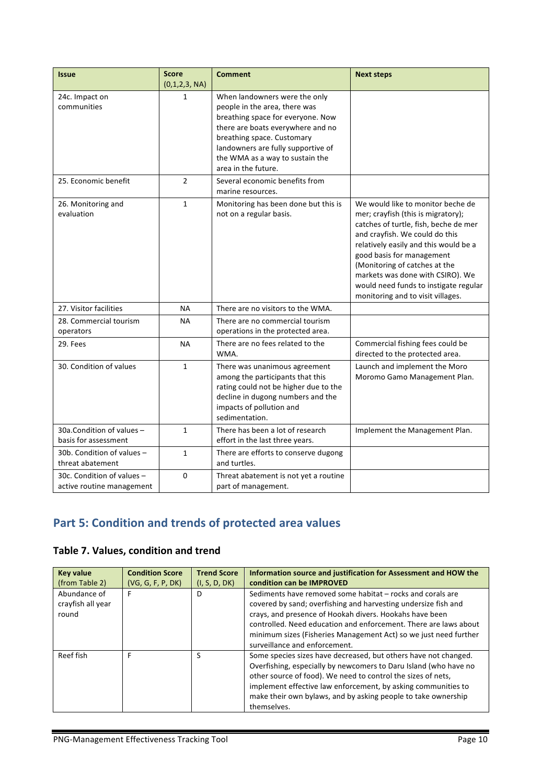| <b>Issue</b>                                            | <b>Score</b><br>(0,1,2,3, NA) | <b>Comment</b>                                                                                                                                                                                                                                                         | <b>Next steps</b>                                                                                                                                                                                                                                                                                                                                                           |
|---------------------------------------------------------|-------------------------------|------------------------------------------------------------------------------------------------------------------------------------------------------------------------------------------------------------------------------------------------------------------------|-----------------------------------------------------------------------------------------------------------------------------------------------------------------------------------------------------------------------------------------------------------------------------------------------------------------------------------------------------------------------------|
| 24c. Impact on<br>communities                           | $\mathbf{1}$                  | When landowners were the only<br>people in the area, there was<br>breathing space for everyone. Now<br>there are boats everywhere and no<br>breathing space. Customary<br>landowners are fully supportive of<br>the WMA as a way to sustain the<br>area in the future. |                                                                                                                                                                                                                                                                                                                                                                             |
| 25. Economic benefit                                    | $\overline{2}$                | Several economic benefits from<br>marine resources.                                                                                                                                                                                                                    |                                                                                                                                                                                                                                                                                                                                                                             |
| 26. Monitoring and<br>evaluation                        | $\mathbf{1}$                  | Monitoring has been done but this is<br>not on a regular basis.                                                                                                                                                                                                        | We would like to monitor beche de<br>mer; crayfish (this is migratory);<br>catches of turtle, fish, beche de mer<br>and crayfish. We could do this<br>relatively easily and this would be a<br>good basis for management<br>(Monitoring of catches at the<br>markets was done with CSIRO). We<br>would need funds to instigate regular<br>monitoring and to visit villages. |
| 27. Visitor facilities                                  | <b>NA</b>                     | There are no visitors to the WMA.                                                                                                                                                                                                                                      |                                                                                                                                                                                                                                                                                                                                                                             |
| 28. Commercial tourism<br>operators                     | <b>NA</b>                     | There are no commercial tourism<br>operations in the protected area.                                                                                                                                                                                                   |                                                                                                                                                                                                                                                                                                                                                                             |
| 29. Fees                                                | <b>NA</b>                     | There are no fees related to the<br>WMA.                                                                                                                                                                                                                               | Commercial fishing fees could be<br>directed to the protected area.                                                                                                                                                                                                                                                                                                         |
| 30. Condition of values                                 | $\mathbf{1}$                  | There was unanimous agreement<br>among the participants that this<br>rating could not be higher due to the<br>decline in dugong numbers and the<br>impacts of pollution and<br>sedimentation.                                                                          | Launch and implement the Moro<br>Moromo Gamo Management Plan.                                                                                                                                                                                                                                                                                                               |
| 30a.Condition of values -<br>basis for assessment       | $\mathbf{1}$                  | There has been a lot of research<br>effort in the last three years.                                                                                                                                                                                                    | Implement the Management Plan.                                                                                                                                                                                                                                                                                                                                              |
| 30b. Condition of values -<br>threat abatement          | $\mathbf{1}$                  | There are efforts to conserve dugong<br>and turtles.                                                                                                                                                                                                                   |                                                                                                                                                                                                                                                                                                                                                                             |
| 30c. Condition of values -<br>active routine management | 0                             | Threat abatement is not yet a routine<br>part of management.                                                                                                                                                                                                           |                                                                                                                                                                                                                                                                                                                                                                             |

# **Part 5: Condition and trends of protected area values**

# **Table 7. Values, condition and trend**

| <b>Key value</b><br>(from Table 2)         | <b>Condition Score</b><br>(VG, G, F, P, DK) | <b>Trend Score</b><br>(I, S, D, DK) | Information source and justification for Assessment and HOW the<br>condition can be IMPROVED                                                                                                                                                                                                                                                                     |
|--------------------------------------------|---------------------------------------------|-------------------------------------|------------------------------------------------------------------------------------------------------------------------------------------------------------------------------------------------------------------------------------------------------------------------------------------------------------------------------------------------------------------|
| Abundance of<br>crayfish all year<br>round | F                                           | D                                   | Sediments have removed some habitat – rocks and corals are<br>covered by sand; overfishing and harvesting undersize fish and<br>crays, and presence of Hookah divers. Hookahs have been<br>controlled. Need education and enforcement. There are laws about<br>minimum sizes (Fisheries Management Act) so we just need further<br>surveillance and enforcement. |
| Reef fish                                  | F                                           | S                                   | Some species sizes have decreased, but others have not changed.<br>Overfishing, especially by newcomers to Daru Island (who have no<br>other source of food). We need to control the sizes of nets,<br>implement effective law enforcement, by asking communities to<br>make their own bylaws, and by asking people to take ownership<br>themselves.             |